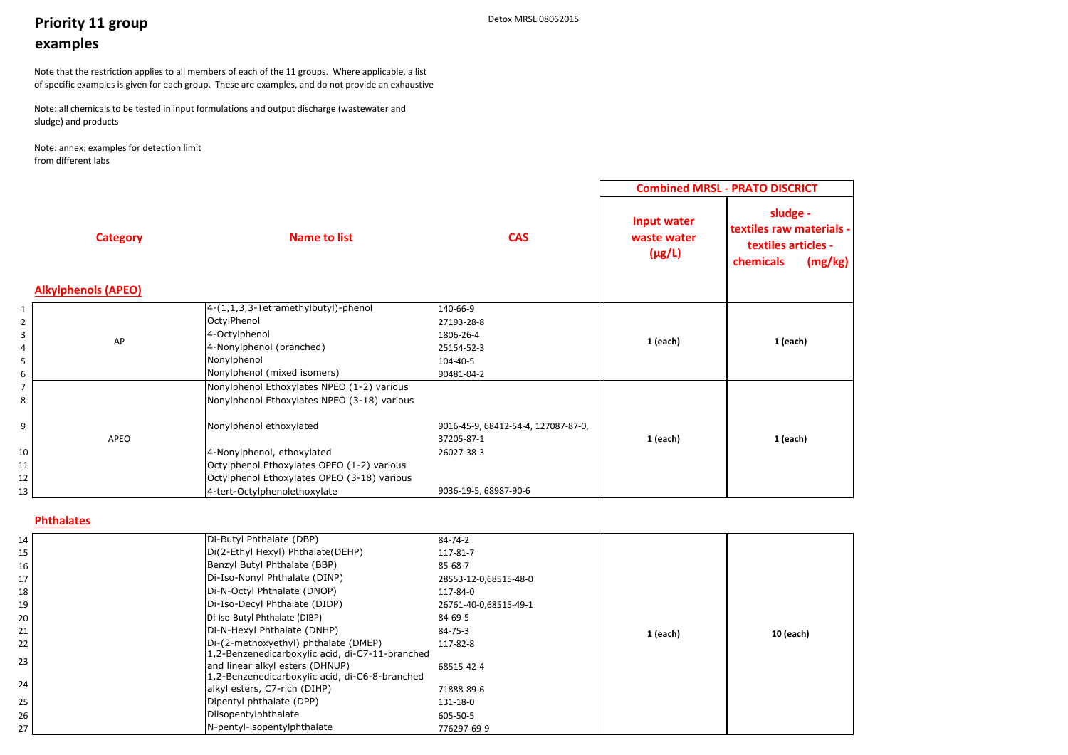# **Priority 11 group examples**

Note: annex: examples for detection limit from different labs





#### **Phthalates**

|                                                    |                            |                                                                                                                                                  |                                                                             | <b>Combined MRSL - PRATO DISCRICT</b>            |                                                                                   |
|----------------------------------------------------|----------------------------|--------------------------------------------------------------------------------------------------------------------------------------------------|-----------------------------------------------------------------------------|--------------------------------------------------|-----------------------------------------------------------------------------------|
|                                                    | <b>Category</b>            | <b>Name to list</b>                                                                                                                              | <b>CAS</b>                                                                  | <b>Input water</b><br>waste water<br>$(\mu g/L)$ | sludge -<br>textiles raw materials<br>textiles articles -<br>chemicals<br>(mg/kg) |
|                                                    | <b>Alkylphenols (APEO)</b> |                                                                                                                                                  |                                                                             |                                                  |                                                                                   |
| $\mathbf{1}$<br>$\overline{2}$<br>3<br>4<br>5<br>6 | AP                         | $4-(1,1,3,3$ -Tetramethylbutyl)-phenol<br>OctylPhenol<br>4-Octylphenol<br>4-Nonylphenol (branched)<br>Nonylphenol<br>Nonylphenol (mixed isomers) | 140-66-9<br>27193-28-8<br>1806-26-4<br>25154-52-3<br>104-40-5<br>90481-04-2 | $1$ (each)                                       | 1 (each)                                                                          |
| $\overline{7}$<br>8                                |                            | Nonylphenol Ethoxylates NPEO (1-2) various<br>Nonylphenol Ethoxylates NPEO (3-18) various                                                        |                                                                             |                                                  |                                                                                   |
| 9                                                  | APEO                       | Nonylphenol ethoxylated                                                                                                                          | 9016-45-9, 68412-54-4, 127087-87-0,<br>37205-87-1                           | $1$ (each)                                       | 1 (each)                                                                          |
| 10                                                 |                            | 4-Nonylphenol, ethoxylated                                                                                                                       | 26027-38-3                                                                  |                                                  |                                                                                   |
| 11                                                 |                            | Octylphenol Ethoxylates OPEO (1-2) various                                                                                                       |                                                                             |                                                  |                                                                                   |
| 12                                                 |                            | Octylphenol Ethoxylates OPEO (3-18) various                                                                                                      |                                                                             |                                                  |                                                                                   |
| 13                                                 |                            | 4-tert-Octylphenolethoxylate                                                                                                                     | 9036-19-5, 68987-90-6                                                       |                                                  |                                                                                   |

| 14 | Di-Butyl Phthalate (DBP)                        | 84-74-2               |          |           |
|----|-------------------------------------------------|-----------------------|----------|-----------|
| 15 | Di(2-Ethyl Hexyl) Phthalate(DEHP)               | 117-81-7              |          |           |
| 16 | Benzyl Butyl Phthalate (BBP)                    | 85-68-7               |          |           |
| 17 | Di-Iso-Nonyl Phthalate (DINP)                   | 28553-12-0,68515-48-0 |          |           |
| 18 | Di-N-Octyl Phthalate (DNOP)                     | 117-84-0              |          |           |
| 19 | Di-Iso-Decyl Phthalate (DIDP)                   | 26761-40-0,68515-49-1 |          |           |
| 20 | Di-Iso-Butyl Phthalate (DIBP)                   | 84-69-5               |          |           |
| 21 | Di-N-Hexyl Phthalate (DNHP)                     | 84-75-3               | 1 (each) | 10 (each) |
| 22 | Di-(2-methoxyethyl) phthalate (DMEP)            | 117-82-8              |          |           |
| 23 | 1,2-Benzenedicarboxylic acid, di-C7-11-branched |                       |          |           |
|    | and linear alkyl esters (DHNUP)                 | 68515-42-4            |          |           |
| 24 | 1,2-Benzenedicarboxylic acid, di-C6-8-branched  |                       |          |           |
|    | alkyl esters, C7-rich (DIHP)                    | 71888-89-6            |          |           |
| 25 | Dipentyl phthalate (DPP)                        | 131-18-0              |          |           |
| 26 | Diisopentylphthalate                            | 605-50-5              |          |           |
| 27 | N-pentyl-isopentylphthalate                     | 776297-69-9           |          |           |

Note that the restriction applies to all members of each of the 11 groups. Where applicable, a list of specific examples is given for each group. These are examples, and do not provide an exhaustive

Note: all chemicals to be tested in input formulations and output discharge (wastewater and sludge) and products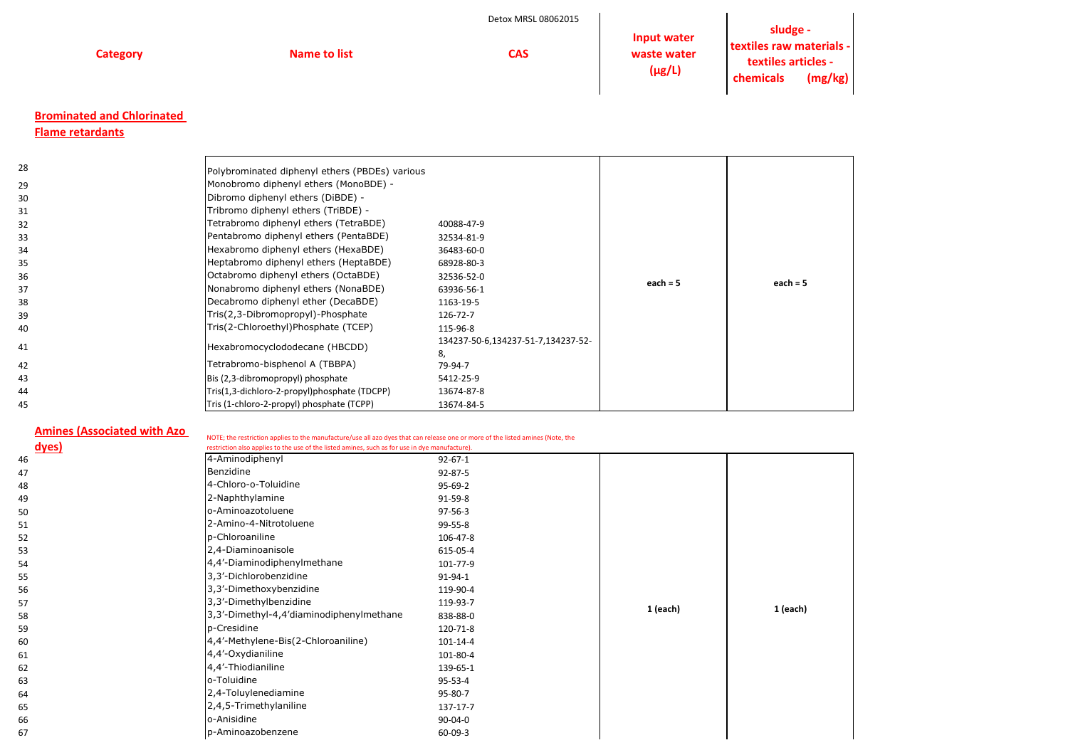**Category Name to list CAS**

**Input water waste water (μg/L)**

**sludge textiles raw materials textiles articles chemicals (mg/kg)**

# **Brominated and Chlorinated**

# **Flame retardants**

| 28 | Polybrominated diphenyl ethers (PBDEs) various |                                          |            |            |
|----|------------------------------------------------|------------------------------------------|------------|------------|
| 29 | Monobromo diphenyl ethers (MonoBDE) -          |                                          |            |            |
| 30 | Dibromo diphenyl ethers (DiBDE) -              |                                          |            |            |
| 31 | Tribromo diphenyl ethers (TriBDE) -            |                                          |            |            |
| 32 | Tetrabromo diphenyl ethers (TetraBDE)          | 40088-47-9                               |            |            |
| 33 | Pentabromo diphenyl ethers (PentaBDE)          | 32534-81-9                               |            |            |
| 34 | Hexabromo diphenyl ethers (HexaBDE)            | 36483-60-0                               |            |            |
| 35 | Heptabromo diphenyl ethers (HeptaBDE)          | 68928-80-3                               |            |            |
| 36 | Octabromo diphenyl ethers (OctaBDE)            | 32536-52-0                               |            |            |
| 37 | Nonabromo diphenyl ethers (NonaBDE)            | 63936-56-1                               | each = $5$ | each $=$ 5 |
| 38 | Decabromo diphenyl ether (DecaBDE)             | 1163-19-5                                |            |            |
| 39 | Tris(2,3-Dibromopropyl)-Phosphate              | 126-72-7                                 |            |            |
| 40 | Tris(2-Chloroethyl)Phosphate (TCEP)            | 115-96-8                                 |            |            |
| 41 | Hexabromocyclododecane (HBCDD)                 | 134237-50-6,134237-51-7,134237-52-<br>8. |            |            |
| 42 | Tetrabromo-bisphenol A (TBBPA)                 | 79-94-7                                  |            |            |
| 43 | Bis (2,3-dibromopropyl) phosphate              | 5412-25-9                                |            |            |
| 44 | Tris(1,3-dichloro-2-propyl)phosphate (TDCPP)   | 13674-87-8                               |            |            |
| 45 | Tris (1-chloro-2-propyl) phosphate (TCPP)      | 13674-84-5                               |            |            |
|    |                                                |                                          |            |            |

# **Amines (Associated with Azo dyes)**

| <u>dyes)</u> | restriction also applies to the use of the listed amines, such as for use in dye manufacture). |                |            |          |
|--------------|------------------------------------------------------------------------------------------------|----------------|------------|----------|
| 46           | 4-Aminodiphenyl                                                                                | $92 - 67 - 1$  |            |          |
| 47           | Benzidine                                                                                      | 92-87-5        |            |          |
| 48           | 4-Chloro-o-Toluidine                                                                           | 95-69-2        |            |          |
| 49           | 2-Naphthylamine                                                                                | 91-59-8        |            |          |
| 50           | o-Aminoazotoluene                                                                              | 97-56-3        |            |          |
| 51           | 2-Amino-4-Nitrotoluene                                                                         | 99-55-8        |            |          |
| 52           | p-Chloroaniline                                                                                | 106-47-8       |            |          |
| 53           | 2,4-Diaminoanisole                                                                             | 615-05-4       |            |          |
| 54           | 4,4'-Diaminodiphenylmethane                                                                    | 101-77-9       |            |          |
| 55           | 3,3'-Dichlorobenzidine                                                                         | 91-94-1        |            |          |
| 56           | 3,3'-Dimethoxybenzidine                                                                        | 119-90-4       |            |          |
| 57           | 3,3'-Dimethylbenzidine                                                                         | 119-93-7       |            |          |
| 58           | 3,3'-Dimethyl-4,4'diaminodiphenylmethane                                                       | 838-88-0       | $1$ (each) | 1 (each) |
| 59           | p-Cresidine                                                                                    | 120-71-8       |            |          |
| 60           | 4,4'-Methylene-Bis(2-Chloroaniline)                                                            | $101 - 14 - 4$ |            |          |
| 61           | 4,4'-Oxydianiline                                                                              | 101-80-4       |            |          |
| 62           | 4,4'-Thiodianiline                                                                             | 139-65-1       |            |          |
| 63           | o-Toluidine                                                                                    | 95-53-4        |            |          |
| 64           | 2,4-Toluylenediamine                                                                           | 95-80-7        |            |          |
| 65           | 2,4,5-Trimethylaniline                                                                         | 137-17-7       |            |          |
| 66           | o-Anisidine                                                                                    | 90-04-0        |            |          |
| 67           | p-Aminoazobenzene                                                                              | 60-09-3        |            |          |
|              |                                                                                                |                |            |          |





NOTE; the restriction applies to the manufacture/use all azo dyes that can release one or more of the listed amines (Note, the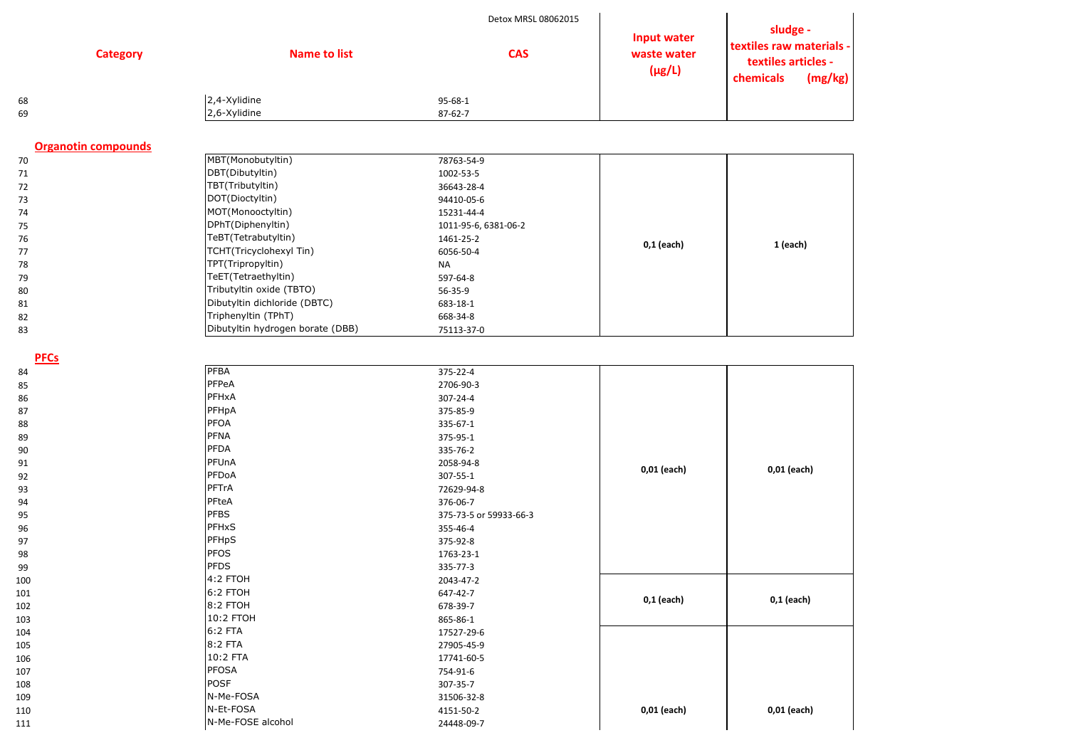



|                                  |                                  | Detox MRSL 08062015    |                                                  |                                                                                     |
|----------------------------------|----------------------------------|------------------------|--------------------------------------------------|-------------------------------------------------------------------------------------|
| <b>Category</b>                  | <b>Name to list</b>              | <b>CAS</b>             | <b>Input water</b><br>waste water<br>$(\mu g/L)$ | sludge -<br>textiles raw materials -<br>textiles articles -<br>chemicals<br>(mg/kg) |
| 68                               | 2,4-Xylidine                     | 95-68-1                |                                                  |                                                                                     |
| 69                               | 2,6-Xylidine                     | 87-62-7                |                                                  |                                                                                     |
| <b>Organotin compounds</b><br>70 | MBT(Monobutyltin)                | 78763-54-9             |                                                  |                                                                                     |
| 71                               | DBT(Dibutyltin)                  | 1002-53-5              |                                                  |                                                                                     |
| 72                               | TBT(Tributyltin)                 | 36643-28-4             |                                                  |                                                                                     |
| 73                               | DOT(Dioctyltin)                  | 94410-05-6             |                                                  |                                                                                     |
| 74                               | MOT(Monooctyltin)                | 15231-44-4             |                                                  |                                                                                     |
| 75                               | DPhT(Diphenyltin)                | 1011-95-6, 6381-06-2   |                                                  |                                                                                     |
| 76                               | TeBT(Tetrabutyltin)              | 1461-25-2              | $0,1$ (each)                                     | $1$ (each)                                                                          |
| 77                               | TCHT(Tricyclohexyl Tin)          | 6056-50-4              |                                                  |                                                                                     |
| 78                               | TPT(Tripropyltin)                | <b>NA</b>              |                                                  |                                                                                     |
| 79                               | TeET(Tetraethyltin)              | 597-64-8               |                                                  |                                                                                     |
| 80                               | Tributyltin oxide (TBTO)         | 56-35-9                |                                                  |                                                                                     |
| 81                               | Dibutyltin dichloride (DBTC)     | 683-18-1               |                                                  |                                                                                     |
| 82                               | Triphenyltin (TPhT)              | 668-34-8               |                                                  |                                                                                     |
| 83                               | Dibutyltin hydrogen borate (DBB) | 75113-37-0             |                                                  |                                                                                     |
| <b>PFCs</b>                      |                                  |                        |                                                  |                                                                                     |
| 84                               | <b>PFBA</b>                      | 375-22-4               |                                                  |                                                                                     |
| 85                               | PFPeA                            | 2706-90-3              |                                                  |                                                                                     |
| 86                               | PFHxA                            | 307-24-4               |                                                  |                                                                                     |
| 87                               | PFHpA                            | 375-85-9               |                                                  |                                                                                     |
| 88                               | <b>PFOA</b>                      | 335-67-1               |                                                  |                                                                                     |
| 89                               | <b>PFNA</b>                      | 375-95-1               |                                                  |                                                                                     |
| 90                               | <b>PFDA</b>                      | 335-76-2               |                                                  |                                                                                     |
| 91                               | PFUnA                            | 2058-94-8              | 0,01 (each)                                      | $0,01$ (each)                                                                       |
| 92                               | <b>PFDoA</b>                     | 307-55-1               |                                                  |                                                                                     |
| 93                               | PFTrA                            | 72629-94-8             |                                                  |                                                                                     |
| 94                               | PFteA                            | 376-06-7               |                                                  |                                                                                     |
| 95                               | <b>PFBS</b>                      | 375-73-5 or 59933-66-3 |                                                  |                                                                                     |
| 96                               | PFHxS                            | 355-46-4               |                                                  |                                                                                     |
| 97                               | PFHpS                            | 375-92-8               |                                                  |                                                                                     |
| 98                               | <b>PFOS</b>                      | 1763-23-1              |                                                  |                                                                                     |
| 99                               | <b>PFDS</b>                      | 335-77-3               |                                                  |                                                                                     |
| 100                              | $4:2$ FTOH                       | 2043-47-2              |                                                  |                                                                                     |
| 101                              | $6:2$ FTOH                       | 647-42-7               |                                                  |                                                                                     |
| 102                              | $8:2$ FTOH                       | 678-39-7               | $0,1$ (each)                                     | $0,1$ (each)                                                                        |
| 103                              | 10:2 FTOH                        | 865-86-1               |                                                  |                                                                                     |
| 104                              | $6:2$ FTA                        | 17527-29-6             |                                                  |                                                                                     |
| 105                              | 8:2 FTA                          | 27905-45-9             |                                                  |                                                                                     |
| 106                              | 10:2 FTA                         | 17741-60-5             |                                                  |                                                                                     |
| 107                              | <b>PFOSA</b>                     | 754-91-6               |                                                  |                                                                                     |
| 108                              | <b>POSF</b>                      | 307-35-7               |                                                  |                                                                                     |
| 109                              | N-Me-FOSA                        | 31506-32-8             |                                                  |                                                                                     |
| 110                              | N-Et-FOSA                        | 4151-50-2              | 0,01 (each)                                      | $0,01$ (each)                                                                       |
| 111                              | N-Me-FOSE alcohol                | 24448-09-7             |                                                  |                                                                                     |
|                                  |                                  |                        |                                                  |                                                                                     |

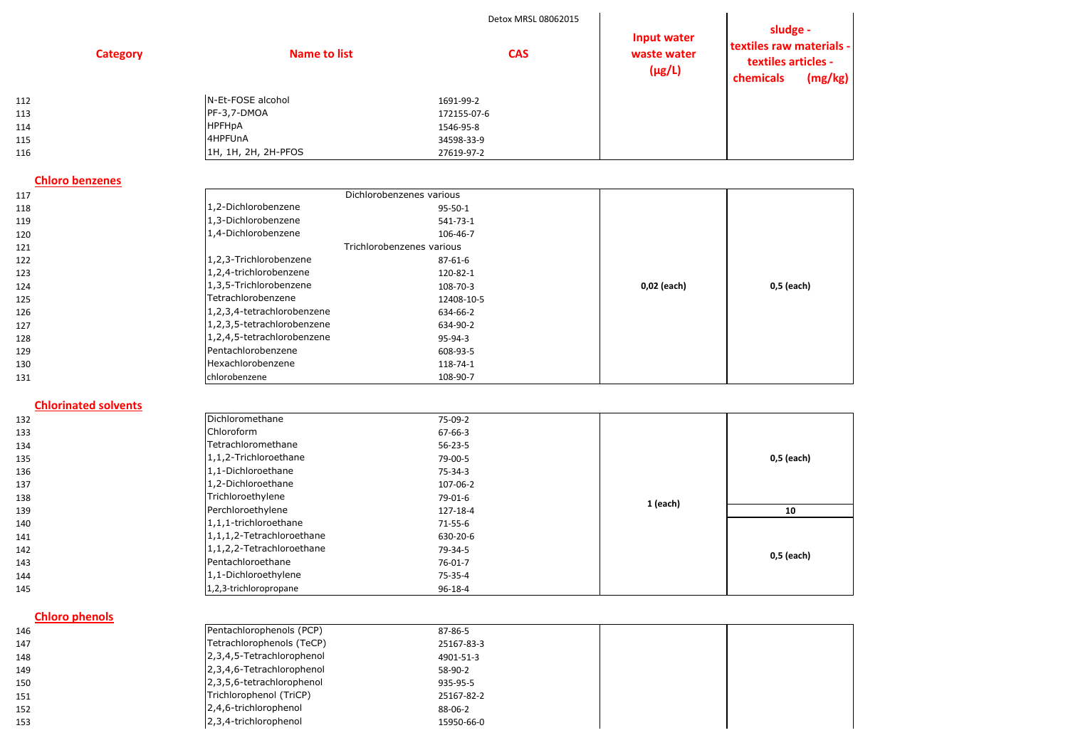

|     |                 |                     | Detox MRSL 08062015 |                                           | sludge -                                        |
|-----|-----------------|---------------------|---------------------|-------------------------------------------|-------------------------------------------------|
|     | <b>Category</b> | <b>Name to list</b> | <b>CAS</b>          | Input water<br>waste water<br>$(\mu g/L)$ | textiles raw materials -<br>textiles articles - |
|     |                 |                     |                     |                                           | (mg/kg)<br>chemicals                            |
| 112 |                 | N-Et-FOSE alcohol   | 1691-99-2           |                                           |                                                 |
| 113 |                 | $PF-3,7-DMOA$       | 172155-07-6         |                                           |                                                 |
| 114 |                 | <b>HPFHpA</b>       | 1546-95-8           |                                           |                                                 |
| 115 |                 | 4HPFUnA             | 34598-33-9          |                                           |                                                 |
| 116 |                 | 1H, 1H, 2H, 2H-PFOS | 27619-97-2          |                                           |                                                 |

#### **Chloro benzenes**

#### **Chlorinated solvents**

| 117 |                            | Dichlorobenzenes various  |             |            |
|-----|----------------------------|---------------------------|-------------|------------|
| 118 | 1,2-Dichlorobenzene        | $95 - 50 - 1$             |             |            |
| 119 | 1,3-Dichlorobenzene        | 541-73-1                  |             |            |
| 120 | 1,4-Dichlorobenzene        | 106-46-7                  |             |            |
| 121 |                            | Trichlorobenzenes various |             |            |
| 122 | 1,2,3-Trichlorobenzene     | 87-61-6                   |             |            |
| 123 | 1,2,4-trichlorobenzene     | 120-82-1                  |             |            |
| 124 | 1,3,5-Trichlorobenzene     | 108-70-3                  | 0,02 (each) | 0,5 (each) |
| 125 | Tetrachlorobenzene         | 12408-10-5                |             |            |
| 126 | 1,2,3,4-tetrachlorobenzene | 634-66-2                  |             |            |
| 127 | 1,2,3,5-tetrachlorobenzene | 634-90-2                  |             |            |
| 128 | 1,2,4,5-tetrachlorobenzene | 95-94-3                   |             |            |
| 129 | Pentachlorobenzene         | 608-93-5                  |             |            |
| 130 | Hexachlorobenzene          | 118-74-1                  |             |            |
| 131 | chlorobenzene              | 108-90-7                  |             |            |

| 132 | Dichloromethane           | 75-09-2       |          |            |
|-----|---------------------------|---------------|----------|------------|
| 133 | <b>Chloroform</b>         | 67-66-3       |          |            |
| 134 | Tetrachloromethane        | $56 - 23 - 5$ |          |            |
| 135 | 1,1,2-Trichloroethane     | 79-00-5       |          | 0,5 (each) |
| 136 | 1,1-Dichloroethane        | $75 - 34 - 3$ |          |            |
| 137 | 1,2-Dichloroethane        | 107-06-2      |          |            |
| 138 | Trichloroethylene         | 79-01-6       |          |            |
| 139 | Perchloroethylene         | 127-18-4      | 1 (each) | 10         |
| 140 | $1,1,1$ -trichloroethane  | $71 - 55 - 6$ |          |            |
| 141 | 1,1,1,2-Tetrachloroethane | 630-20-6      |          |            |
| 142 | 1,1,2,2-Tetrachloroethane | 79-34-5       |          |            |
| 143 | Pentachloroethane         | $76-01-7$     |          | 0,5 (each) |
| 144 | 1,1-Dichloroethylene      | $75 - 35 - 4$ |          |            |
| 145 | 1,2,3-trichloropropane    | 96-18-4       |          |            |

**Chloro phenols**

| 146 | Pentachlorophenols (PCP)  | 87-86-5    |  |
|-----|---------------------------|------------|--|
| 147 | Tetrachlorophenols (TeCP) | 25167-83-3 |  |
| 148 | 2,3,4,5-Tetrachlorophenol | 4901-51-3  |  |
| 149 | 2,3,4,6-Tetrachlorophenol | 58-90-2    |  |
| 150 | 2,3,5,6-tetrachlorophenol | 935-95-5   |  |
| 151 | Trichlorophenol (TriCP)   | 25167-82-2 |  |
| 152 | 2,4,6-trichlorophenol     | 88-06-2    |  |
| 153 | 2,3,4-trichlorophenol     | 15950-66-0 |  |

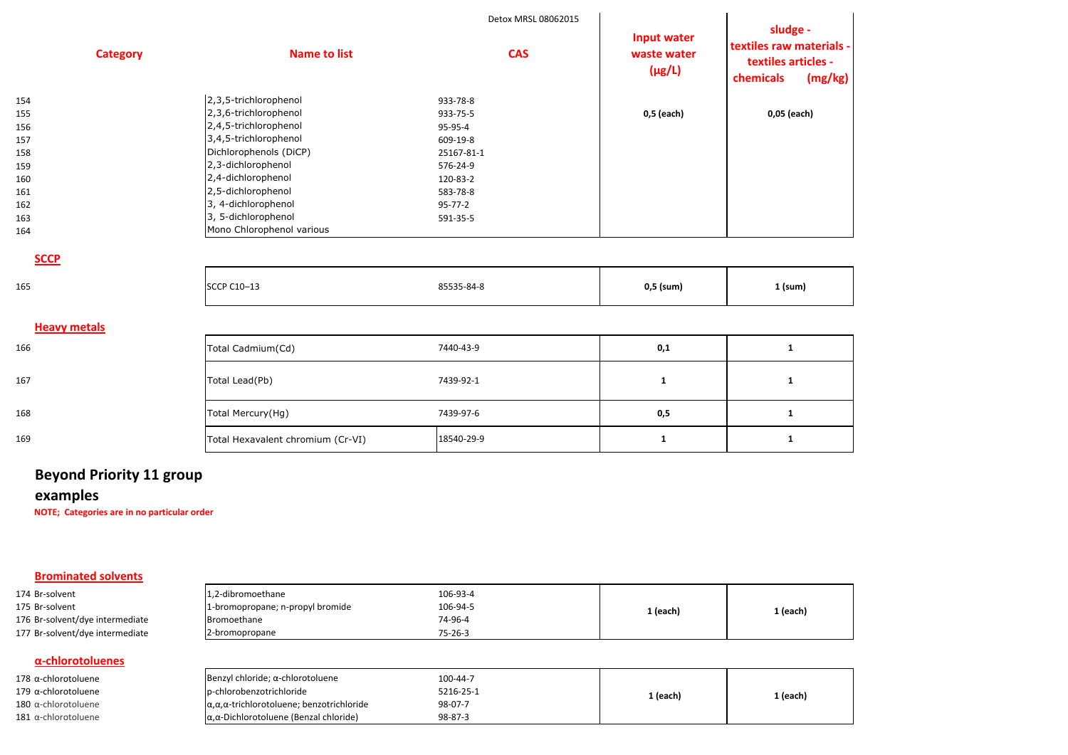|                     |                                   | Detox MRSL 08062015 | <b>Input water</b>         | sludge -                                                                |
|---------------------|-----------------------------------|---------------------|----------------------------|-------------------------------------------------------------------------|
| <b>Category</b>     | <b>Name to list</b>               | <b>CAS</b>          | waste water<br>$(\mu g/L)$ | textiles raw materials -<br>textiles articles -<br>chemicals<br>(mg/kg) |
| 154                 | 2,3,5-trichlorophenol             | 933-78-8            |                            |                                                                         |
| 155                 | 2,3,6-trichlorophenol             | 933-75-5            | 0,5 (each)                 | 0,05 (each)                                                             |
| 156                 | 2,4,5-trichlorophenol             | 95-95-4             |                            |                                                                         |
| 157                 | 3,4,5-trichlorophenol             | 609-19-8            |                            |                                                                         |
| 158                 | Dichlorophenols (DiCP)            | 25167-81-1          |                            |                                                                         |
| 159                 | 2,3-dichlorophenol                | 576-24-9            |                            |                                                                         |
| 160                 | 2,4-dichlorophenol                | 120-83-2            |                            |                                                                         |
| 161                 | 2,5-dichlorophenol                | 583-78-8            |                            |                                                                         |
| 162                 | 3, 4-dichlorophenol               | $95 - 77 - 2$       |                            |                                                                         |
| 163                 | 3, 5-dichlorophenol               | 591-35-5            |                            |                                                                         |
| 164                 | Mono Chlorophenol various         |                     |                            |                                                                         |
| <b>SCCP</b>         |                                   |                     |                            |                                                                         |
| 165                 | <b>SCCP C10-13</b>                | 85535-84-8          | $0,5$ (sum)                | $1$ (sum)                                                               |
| <b>Heavy metals</b> |                                   |                     |                            |                                                                         |
| 166                 | Total Cadmium(Cd)                 | 7440-43-9           | 0,1                        | $\mathbf{1}$                                                            |
| 167                 | Total Lead(Pb)                    | 7439-92-1           | $\mathbf{1}$               | $\mathbf{1}$                                                            |
| 168                 | Total Mercury(Hg)                 | 7439-97-6           | 0,5                        | $\mathbf{1}$                                                            |
| 169                 | Total Hexavalent chromium (Cr-VI) | 18540-29-9          | $\mathbf{1}$               | $\mathbf{1}$                                                            |

# **Beyond Priority 11 group examples**

**NOTE; Categories are in no particular order**

#### **Brominated solvents**

| 174 Br-solvent                  | 1,2-dibromoethane                                       | 106-93-4      |          |          |
|---------------------------------|---------------------------------------------------------|---------------|----------|----------|
| 175 Br-solvent                  | 1-bromopropane; n-propyl bromide                        | 106-94-5      | 1 (each) | 1 (each) |
| 176 Br-solvent/dye intermediate | Bromoethane                                             | 74-96-4       |          |          |
| 177 Br-solvent/dye intermediate | 2-bromopropane                                          | $75 - 26 - 3$ |          |          |
| $\alpha$ -chlorotoluenes        |                                                         |               |          |          |
| 178 α-chlorotoluene             | Benzyl chloride; $\alpha$ -chlorotoluene                | 100-44-7      |          |          |
| 179 $α$ -chlorotoluene          | p-chlorobenzotrichloride                                | 5216-25-1     | 1 (each) | 1 (each) |
| 180 $α$ -chlorotoluene          | $\alpha, \alpha$ , a-trichlorotoluene; benzotrichloride | 98-07-7       |          |          |
| 181 α-chlorotoluene             | $\alpha$ , $\alpha$ -Dichlorotoluene (Benzal chloride)  | 98-87-3       |          |          |
|                                 |                                                         |               |          |          |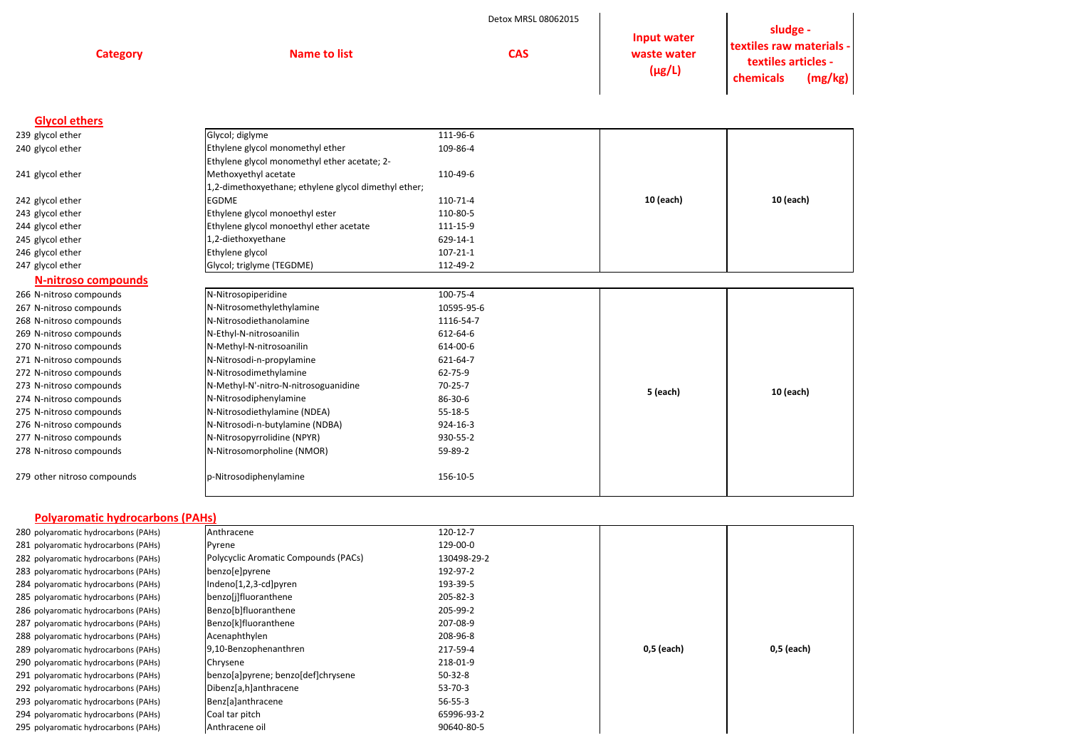



| <b>Category</b>             | <b>Name to list</b>                                  | Detox MRSL 08062015<br><b>CAS</b> | <b>Input water</b><br>waste water<br>$(\mu g/L)$ | sludge -<br>textiles raw materials -<br>textiles articles -<br>chemicals<br>(mg/kg) |
|-----------------------------|------------------------------------------------------|-----------------------------------|--------------------------------------------------|-------------------------------------------------------------------------------------|
| <b>Glycol ethers</b>        |                                                      |                                   |                                                  |                                                                                     |
| 239 glycol ether            | Glycol; diglyme                                      | 111-96-6                          |                                                  |                                                                                     |
| 240 glycol ether            | Ethylene glycol monomethyl ether                     | 109-86-4                          |                                                  |                                                                                     |
|                             | Ethylene glycol monomethyl ether acetate; 2-         |                                   |                                                  |                                                                                     |
| 241 glycol ether            | Methoxyethyl acetate                                 | 110-49-6                          |                                                  |                                                                                     |
|                             | 1,2-dimethoxyethane; ethylene glycol dimethyl ether; |                                   |                                                  |                                                                                     |
| 242 glycol ether            | <b>EGDME</b>                                         | 110-71-4                          | 10 (each)                                        | 10 (each)                                                                           |
| 243 glycol ether            | Ethylene glycol monoethyl ester                      | 110-80-5                          |                                                  |                                                                                     |
| 244 glycol ether            | Ethylene glycol monoethyl ether acetate              | 111-15-9                          |                                                  |                                                                                     |
| 245 glycol ether            | 1,2-diethoxyethane                                   | 629-14-1                          |                                                  |                                                                                     |
| 246 glycol ether            | Ethylene glycol                                      | $107 - 21 - 1$                    |                                                  |                                                                                     |
| 247 glycol ether            | Glycol; triglyme (TEGDME)                            | 112-49-2                          |                                                  |                                                                                     |
| <b>N-nitroso compounds</b>  |                                                      |                                   |                                                  |                                                                                     |
| 266 N-nitroso compounds     | N-Nitrosopiperidine                                  | 100-75-4                          |                                                  |                                                                                     |
| 267 N-nitroso compounds     | N-Nitrosomethylethylamine                            | 10595-95-6                        |                                                  |                                                                                     |
| 268 N-nitroso compounds     | N-Nitrosodiethanolamine                              | 1116-54-7                         |                                                  |                                                                                     |
| 269 N-nitroso compounds     | N-Ethyl-N-nitrosoanilin                              | 612-64-6                          |                                                  |                                                                                     |
| 270 N-nitroso compounds     | N-Methyl-N-nitrosoanilin                             | 614-00-6                          |                                                  |                                                                                     |
| 271 N-nitroso compounds     | N-Nitrosodi-n-propylamine                            | 621-64-7                          |                                                  |                                                                                     |
| 272 N-nitroso compounds     | N-Nitrosodimethylamine                               | 62-75-9                           |                                                  |                                                                                     |
| 273 N-nitroso compounds     | N-Methyl-N'-nitro-N-nitrosoguanidine                 | $70 - 25 - 7$                     | 5 (each)                                         | 10 (each)                                                                           |
| 274 N-nitroso compounds     | N-Nitrosodiphenylamine                               | 86-30-6                           |                                                  |                                                                                     |
| 275 N-nitroso compounds     | N-Nitrosodiethylamine (NDEA)                         | $55 - 18 - 5$                     |                                                  |                                                                                     |
| 276 N-nitroso compounds     | N-Nitrosodi-n-butylamine (NDBA)                      | 924-16-3                          |                                                  |                                                                                     |
| 277 N-nitroso compounds     | N-Nitrosopyrrolidine (NPYR)                          | 930-55-2                          |                                                  |                                                                                     |
| 278 N-nitroso compounds     | N-Nitrosomorpholine (NMOR)                           | 59-89-2                           |                                                  |                                                                                     |
| 279 other nitroso compounds | p-Nitrosodiphenylamine                               | 156-10-5                          |                                                  |                                                                                     |
|                             |                                                      |                                   |                                                  |                                                                                     |

# **Polyaromatic hydrocarbons (PAHs)**

| 280 polyaromatic hydrocarbons (PAHs) | Anthracene                           | 120-12-7      |            |            |
|--------------------------------------|--------------------------------------|---------------|------------|------------|
| 281 polyaromatic hydrocarbons (PAHs) | Pyrene                               | 129-00-0      |            |            |
| 282 polyaromatic hydrocarbons (PAHs) | Polycyclic Aromatic Compounds (PACs) | 130498-29-2   |            |            |
| 283 polyaromatic hydrocarbons (PAHs) | benzo[e]pyrene                       | 192-97-2      |            |            |
| 284 polyaromatic hydrocarbons (PAHs) | Indeno[1,2,3-cd]pyren                | 193-39-5      |            |            |
| 285 polyaromatic hydrocarbons (PAHs) | benzo[j]fluoranthene                 | 205-82-3      |            |            |
| 286 polyaromatic hydrocarbons (PAHs) | Benzo[b]fluoranthene                 | 205-99-2      |            |            |
| 287 polyaromatic hydrocarbons (PAHs) | Benzo[k]fluoranthene                 | 207-08-9      |            |            |
| 288 polyaromatic hydrocarbons (PAHs) | Acenaphthylen                        | 208-96-8      |            |            |
| 289 polyaromatic hydrocarbons (PAHs) | 9,10-Benzophenanthren                | 217-59-4      | 0,5 (each) | 0,5 (each) |
| 290 polyaromatic hydrocarbons (PAHs) | Chrysene                             | 218-01-9      |            |            |
| 291 polyaromatic hydrocarbons (PAHs) | benzo[a]pyrene; benzo[def]chrysene   | $50 - 32 - 8$ |            |            |
| 292 polyaromatic hydrocarbons (PAHs) | Dibenz[a,h]anthracene                | $53 - 70 - 3$ |            |            |
| 293 polyaromatic hydrocarbons (PAHs) | Benz[a]anthracene                    | $56 - 55 - 3$ |            |            |
| 294 polyaromatic hydrocarbons (PAHs) | Coal tar pitch                       | 65996-93-2    |            |            |
| 295 polyaromatic hydrocarbons (PAHs) | Anthracene oil                       | 90640-80-5    |            |            |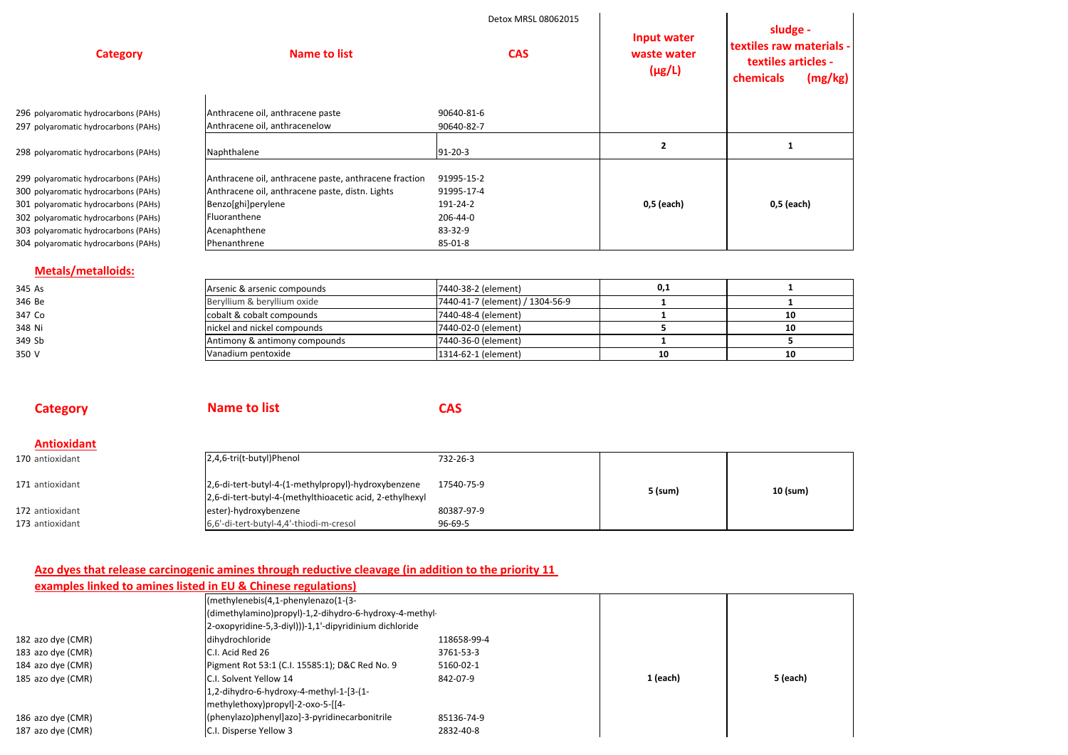#### **Metals/metalloids:**

| 10<br>10 |
|----------|

|                                      |                                                       | Detox MRSL 08062015 |                                           | sludge -                                                                |  |
|--------------------------------------|-------------------------------------------------------|---------------------|-------------------------------------------|-------------------------------------------------------------------------|--|
| <b>Category</b>                      | <b>Name to list</b><br><b>CAS</b>                     |                     | Input water<br>waste water<br>$(\mu g/L)$ | textiles raw materials -<br>textiles articles -<br>(mg/kg)<br>chemicals |  |
| 296 polyaromatic hydrocarbons (PAHs) | Anthracene oil, anthracene paste                      | 90640-81-6          |                                           |                                                                         |  |
| 297 polyaromatic hydrocarbons (PAHs) | Anthracene oil, anthracenelow                         | 90640-82-7          |                                           |                                                                         |  |
| 298 polyaromatic hydrocarbons (PAHs) | Naphthalene                                           | $91-20-3$           | $\overline{2}$                            |                                                                         |  |
| 299 polyaromatic hydrocarbons (PAHs) | Anthracene oil, anthracene paste, anthracene fraction | 91995-15-2          |                                           |                                                                         |  |
| 300 polyaromatic hydrocarbons (PAHs) | Anthracene oil, anthracene paste, distn. Lights       | 91995-17-4          |                                           |                                                                         |  |
| 301 polyaromatic hydrocarbons (PAHs) | Benzo[ghi]perylene                                    | 191-24-2            | 0,5 (each)                                | 0,5 (each)                                                              |  |
| 302 polyaromatic hydrocarbons (PAHs) | Fluoranthene                                          | 206-44-0            |                                           |                                                                         |  |
| 303 polyaromatic hydrocarbons (PAHs) | Acenaphthene                                          | 83-32-9             |                                           |                                                                         |  |
| 304 polyaromatic hydrocarbons (PAHs) | Phenanthrene                                          | 85-01-8             |                                           |                                                                         |  |

# **Category**

**Name to list CAS**



#### **Antioxidant**

#### 170 antioxidant

| 170 antioxidant | 2,4,6-tri(t-butyl)Phenol                                                                                        | 732-26-3   |         |          |
|-----------------|-----------------------------------------------------------------------------------------------------------------|------------|---------|----------|
| 171 antioxidant | 2,6-di-tert-butyl-4-(1-methylpropyl)-hydroxybenzene<br>2,6-di-tert-butyl-4-(methylthioacetic acid, 2-ethylhexyl | 17540-75-9 | 5 (sum) | 10 (sum) |
| 172 antioxidant | ester)-hydroxybenzene                                                                                           | 80387-97-9 |         |          |
| 173 antioxidant | 6,6'-di-tert-butyl-4,4'-thiodi-m-cresol                                                                         | 96-69-5    |         |          |

|                   | $($ methylenebis $(4,1)$ -phenylenazo $(1-(3))$         |             |          |          |
|-------------------|---------------------------------------------------------|-------------|----------|----------|
|                   | (dimethylamino)propyl)-1,2-dihydro-6-hydroxy-4-methyl-  |             |          |          |
|                   | [2-oxopyridine-5,3-diyl])]-1,1'-dipyridinium dichloride |             |          |          |
| 182 azo dye (CMR) | dihydrochloride                                         | 118658-99-4 |          |          |
| 183 azo dye (CMR) | <b>IC.I. Acid Red 26</b>                                | 3761-53-3   |          |          |
| 184 azo dye (CMR) | Pigment Rot 53:1 (C.I. 15585:1); D&C Red No. 9          | 5160-02-1   |          |          |
| 185 azo dye (CMR) | <b>IC.I. Solvent Yellow 14</b>                          | 842-07-9    | 1 (each) | 5 (each) |
|                   | 1,2-dihydro-6-hydroxy-4-methyl-1-[3-(1-                 |             |          |          |
|                   | methylethoxy)propyl]-2-oxo-5-[[4-                       |             |          |          |
| 186 azo dye (CMR) | (phenylazo)phenyl]azo]-3-pyridinecarbonitrile           | 85136-74-9  |          |          |
| 187 azo dye (CMR) | C.I. Disperse Yellow 3                                  | 2832-40-8   |          |          |
|                   |                                                         |             |          |          |

#### **Azo dyes that release carcinogenic amines through reductive cleavage (in addition to the priority 11**

# **examples linked to amines listed in EU & Chinese regulations)**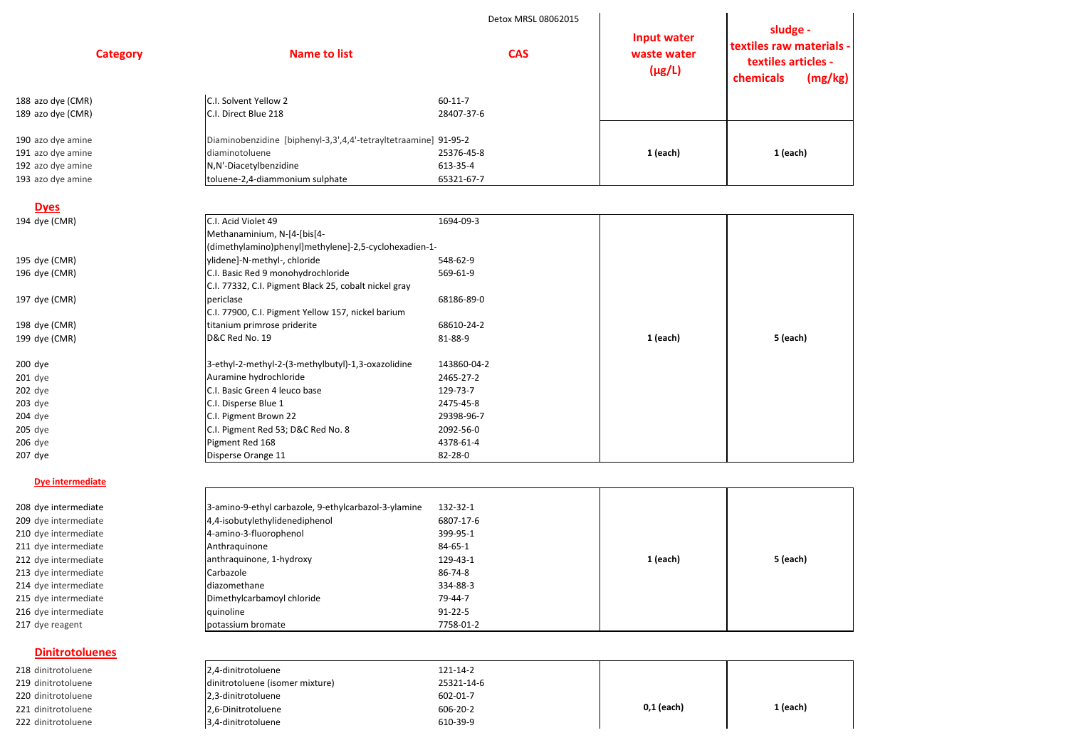

### **Dyes**

|                   |                                                                 | Detox MRSL 08062015 |                                           |                                                                                   |
|-------------------|-----------------------------------------------------------------|---------------------|-------------------------------------------|-----------------------------------------------------------------------------------|
| <b>Category</b>   | <b>Name to list</b>                                             | <b>CAS</b>          | Input water<br>waste water<br>$(\mu g/L)$ | sludge -<br>textiles raw materials<br>textiles articles -<br>(mg/kg)<br>chemicals |
| 188 azo dye (CMR) | C.I. Solvent Yellow 2                                           | $60-11-7$           |                                           |                                                                                   |
| 189 azo dye (CMR) | C.I. Direct Blue 218                                            | 28407-37-6          |                                           |                                                                                   |
| 190 azo dye amine | Diaminobenzidine [biphenyl-3,3',4,4'-tetrayltetraamine] 91-95-2 |                     |                                           |                                                                                   |
| 191 azo dye amine | diaminotoluene                                                  | 25376-45-8          | $1$ (each)                                | $1$ (each)                                                                        |
| 192 azo dye amine | N,N'-Diacetylbenzidine                                          | 613-35-4            |                                           |                                                                                   |
| 193 azo dye amine | toluene-2,4-diammonium sulphate                                 | 65321-67-7          |                                           |                                                                                   |

#### **Dye intermediate**

208 dye intermediate

| 194 dye (CMR) | C.I. Acid Violet 49                                   | 1694-09-3   |          |          |
|---------------|-------------------------------------------------------|-------------|----------|----------|
|               | Methanaminium, N-[4-[bis[4-                           |             |          |          |
|               | (dimethylamino)phenyl]methylene]-2,5-cyclohexadien-1- |             |          |          |
| 195 dye (CMR) | ylidene]-N-methyl-, chloride                          | 548-62-9    |          |          |
| 196 dye (CMR) | C.I. Basic Red 9 monohydrochloride                    | 569-61-9    |          |          |
|               | C.I. 77332, C.I. Pigment Black 25, cobalt nickel gray |             |          |          |
| 197 dye (CMR) | periclase                                             | 68186-89-0  |          |          |
|               | C.I. 77900, C.I. Pigment Yellow 157, nickel barium    |             |          |          |
| 198 dye (CMR) | titanium primrose priderite                           | 68610-24-2  |          |          |
| 199 dye (CMR) | D&C Red No. 19                                        | 81-88-9     | 1 (each) | 5 (each) |
|               |                                                       |             |          |          |
| $200$ dye     | 3-ethyl-2-methyl-2-(3-methylbutyl)-1,3-oxazolidine    | 143860-04-2 |          |          |
| 201 dye       | Auramine hydrochloride                                | 2465-27-2   |          |          |
| 202 dye       | C.I. Basic Green 4 leuco base                         | 129-73-7    |          |          |
| $203$ dye     | C.I. Disperse Blue 1                                  | 2475-45-8   |          |          |
| 204 dye       | C.I. Pigment Brown 22                                 | 29398-96-7  |          |          |
| 205 dye       | C.I. Pigment Red 53; D&C Red No. 8                    | 2092-56-0   |          |          |
| 206 dye       | Pigment Red 168                                       | 4378-61-4   |          |          |
| 207 dye       | Disperse Orange 11                                    | 82-28-0     |          |          |

| 208 dye intermediate | 3-amino-9-ethyl carbazole, 9-ethylcarbazol-3-ylamine | 132-32-1      |          |          |
|----------------------|------------------------------------------------------|---------------|----------|----------|
| 209 dye intermediate | 4,4-isobutylethylidenediphenol                       | 6807-17-6     |          |          |
| 210 dye intermediate | 4-amino-3-fluorophenol                               | 399-95-1      |          |          |
| 211 dye intermediate | Anthraguinone                                        | 84-65-1       |          |          |
| 212 dye intermediate | anthraquinone, 1-hydroxy                             | 129-43-1      | 1 (each) | 5 (each) |
| 213 dye intermediate | Carbazole                                            | 86-74-8       |          |          |
| 214 dye intermediate | diazomethane                                         | 334-88-3      |          |          |
| 215 dye intermediate | Dimethylcarbamoyl chloride                           | 79-44-7       |          |          |
| 216 dye intermediate | quinoline                                            | $91 - 22 - 5$ |          |          |
| 217 dye reagent      | potassium bromate                                    | 7758-01-2     |          |          |

### **Dinitrotoluenes**

| 218 dinitrotoluene | 2,4-dinitrotoluene              | 121-14-2   |              |            |
|--------------------|---------------------------------|------------|--------------|------------|
| 219 dinitrotoluene | dinitrotoluene (isomer mixture) | 25321-14-6 |              |            |
| 220 dinitrotoluene | 2,3-dinitrotoluene              | 602-01-7   |              |            |
| 221 dinitrotoluene | 2,6-Dinitrotoluene              | 606-20-2   | $0,1$ (each) | $1$ (each) |
| 222 dinitrotoluene | 3,4-dinitrotoluene              | 610-39-9   |              |            |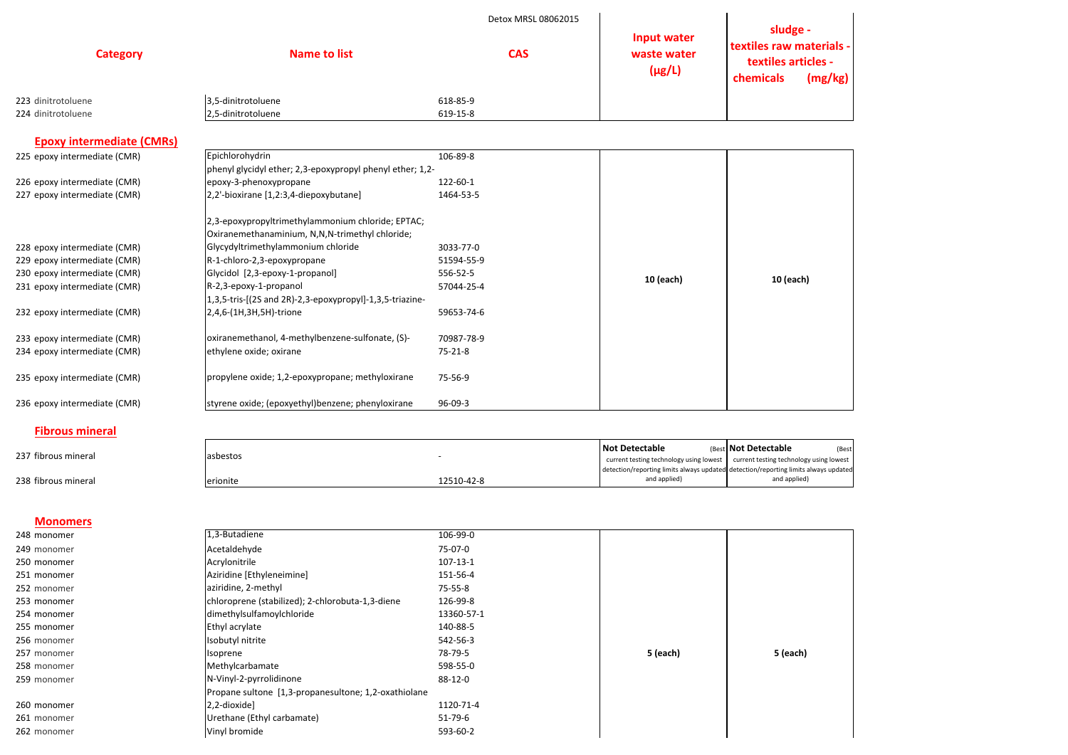



|                                  |                                                                                                      | Detox MRSL 08062015 | <b>Input water</b>         | sludge -                                                                |
|----------------------------------|------------------------------------------------------------------------------------------------------|---------------------|----------------------------|-------------------------------------------------------------------------|
| <b>Category</b>                  | <b>Name to list</b>                                                                                  | <b>CAS</b>          | waste water<br>$(\mu g/L)$ | textiles raw materials -<br>textiles articles -<br>chemicals<br>(mg/kg) |
| 223 dinitrotoluene               | 3,5-dinitrotoluene                                                                                   | 618-85-9            |                            |                                                                         |
| 224 dinitrotoluene               | 2,5-dinitrotoluene                                                                                   | 619-15-8            |                            |                                                                         |
| <b>Epoxy intermediate (CMRs)</b> |                                                                                                      |                     |                            |                                                                         |
| 225 epoxy intermediate (CMR)     | Epichlorohydrin<br>phenyl glycidyl ether; 2,3-epoxypropyl phenyl ether; 1,2-                         | 106-89-8            |                            |                                                                         |
| 226 epoxy intermediate (CMR)     | epoxy-3-phenoxypropane                                                                               | 122-60-1            |                            |                                                                         |
| 227 epoxy intermediate (CMR)     | [2,2'-bioxirane [1,2:3,4-diepoxybutane]                                                              | 1464-53-5           |                            |                                                                         |
|                                  | 2,3-epoxypropyltrimethylammonium chloride; EPTAC;<br>Oxiranemethanaminium, N,N,N-trimethyl chloride; |                     |                            |                                                                         |
| 228 epoxy intermediate (CMR)     | Glycydyltrimethylammonium chloride                                                                   | 3033-77-0           |                            |                                                                         |
| 229 epoxy intermediate (CMR)     | R-1-chloro-2,3-epoxypropane                                                                          | 51594-55-9          |                            |                                                                         |
| 230 epoxy intermediate (CMR)     | Glycidol [2,3-epoxy-1-propanol]                                                                      | 556-52-5            |                            |                                                                         |
| 231 epoxy intermediate (CMR)     | R-2,3-epoxy-1-propanol                                                                               | 57044-25-4          | 10 (each)                  | 10 (each)                                                               |
|                                  | 1,3,5-tris-[(2S and 2R)-2,3-epoxypropyl]-1,3,5-triazine-                                             |                     |                            |                                                                         |
| 232 epoxy intermediate (CMR)     | 2,4,6-(1H,3H,5H)-trione                                                                              | 59653-74-6          |                            |                                                                         |
| 233 epoxy intermediate (CMR)     | oxiranemethanol, 4-methylbenzene-sulfonate, (S)-                                                     | 70987-78-9          |                            |                                                                         |
| 234 epoxy intermediate (CMR)     | ethylene oxide; oxirane                                                                              | 75-21-8             |                            |                                                                         |
| 235 epoxy intermediate (CMR)     | propylene oxide; 1,2-epoxypropane; methyloxirane                                                     | 75-56-9             |                            |                                                                         |
| 236 epoxy intermediate (CMR)     | styrene oxide; (epoxyethyl)benzene; phenyloxirane                                                    | 96-09-3             |                            |                                                                         |

### **Monomers**

237 fibrous mineral

238 fibrous mineral

| Acetaldehyde<br>75-07-0<br>249 monomer<br>Acrylonitrile<br>$107 - 13 - 1$<br>250 monomer<br>Aziridine [Ethyleneimine]<br>151-56-4<br>251 monomer<br>aziridine, 2-methyl<br>$75 - 55 - 8$<br>252 monomer<br>chloroprene (stabilized); 2-chlorobuta-1,3-diene<br>126-99-8<br>253 monomer<br>dimethylsulfamoylchloride<br>13360-57-1<br>254 monomer<br>Ethyl acrylate<br>140-88-5<br>255 monomer<br>Isobutyl nitrite<br>542-56-3<br>256 monomer<br>5 (each)<br>5 (each)<br>78-79-5<br>257 monomer<br>Isoprene<br>Methylcarbamate<br>598-55-0<br>258 monomer<br>N-Vinyl-2-pyrrolidinone<br>88-12-0<br>259 monomer<br>Propane sultone [1,3-propanesultone; 1,2-oxathiolane<br>2,2-dioxide]<br>1120-71-4<br>260 monomer<br>Urethane (Ethyl carbamate)<br>$51-79-6$<br>261 monomer<br>Vinyl bromide<br>593-60-2<br>262 monomer | 248 monomer | 1,3-Butadiene | 106-99-0 |  |
|-------------------------------------------------------------------------------------------------------------------------------------------------------------------------------------------------------------------------------------------------------------------------------------------------------------------------------------------------------------------------------------------------------------------------------------------------------------------------------------------------------------------------------------------------------------------------------------------------------------------------------------------------------------------------------------------------------------------------------------------------------------------------------------------------------------------------|-------------|---------------|----------|--|
|                                                                                                                                                                                                                                                                                                                                                                                                                                                                                                                                                                                                                                                                                                                                                                                                                         |             |               |          |  |
|                                                                                                                                                                                                                                                                                                                                                                                                                                                                                                                                                                                                                                                                                                                                                                                                                         |             |               |          |  |
|                                                                                                                                                                                                                                                                                                                                                                                                                                                                                                                                                                                                                                                                                                                                                                                                                         |             |               |          |  |
|                                                                                                                                                                                                                                                                                                                                                                                                                                                                                                                                                                                                                                                                                                                                                                                                                         |             |               |          |  |
|                                                                                                                                                                                                                                                                                                                                                                                                                                                                                                                                                                                                                                                                                                                                                                                                                         |             |               |          |  |
|                                                                                                                                                                                                                                                                                                                                                                                                                                                                                                                                                                                                                                                                                                                                                                                                                         |             |               |          |  |
|                                                                                                                                                                                                                                                                                                                                                                                                                                                                                                                                                                                                                                                                                                                                                                                                                         |             |               |          |  |
|                                                                                                                                                                                                                                                                                                                                                                                                                                                                                                                                                                                                                                                                                                                                                                                                                         |             |               |          |  |
|                                                                                                                                                                                                                                                                                                                                                                                                                                                                                                                                                                                                                                                                                                                                                                                                                         |             |               |          |  |
|                                                                                                                                                                                                                                                                                                                                                                                                                                                                                                                                                                                                                                                                                                                                                                                                                         |             |               |          |  |
|                                                                                                                                                                                                                                                                                                                                                                                                                                                                                                                                                                                                                                                                                                                                                                                                                         |             |               |          |  |
|                                                                                                                                                                                                                                                                                                                                                                                                                                                                                                                                                                                                                                                                                                                                                                                                                         |             |               |          |  |
|                                                                                                                                                                                                                                                                                                                                                                                                                                                                                                                                                                                                                                                                                                                                                                                                                         |             |               |          |  |
|                                                                                                                                                                                                                                                                                                                                                                                                                                                                                                                                                                                                                                                                                                                                                                                                                         |             |               |          |  |
|                                                                                                                                                                                                                                                                                                                                                                                                                                                                                                                                                                                                                                                                                                                                                                                                                         |             |               |          |  |

| Fibrous mineral |          |            |                  |                                                                                     |
|-----------------|----------|------------|------------------|-------------------------------------------------------------------------------------|
|                 |          |            | l Not Detectable | Best <b>Not Detectable</b><br>(Best                                                 |
| fibrous mineral | asbestos |            |                  | current testing technology using lowest   current testing technology using lowest   |
|                 |          |            |                  | detection/reporting limits always updated detection/reporting limits always updated |
| fibrous mineral | erionite | 12510-42-8 | and applied)     | and applied)                                                                        |

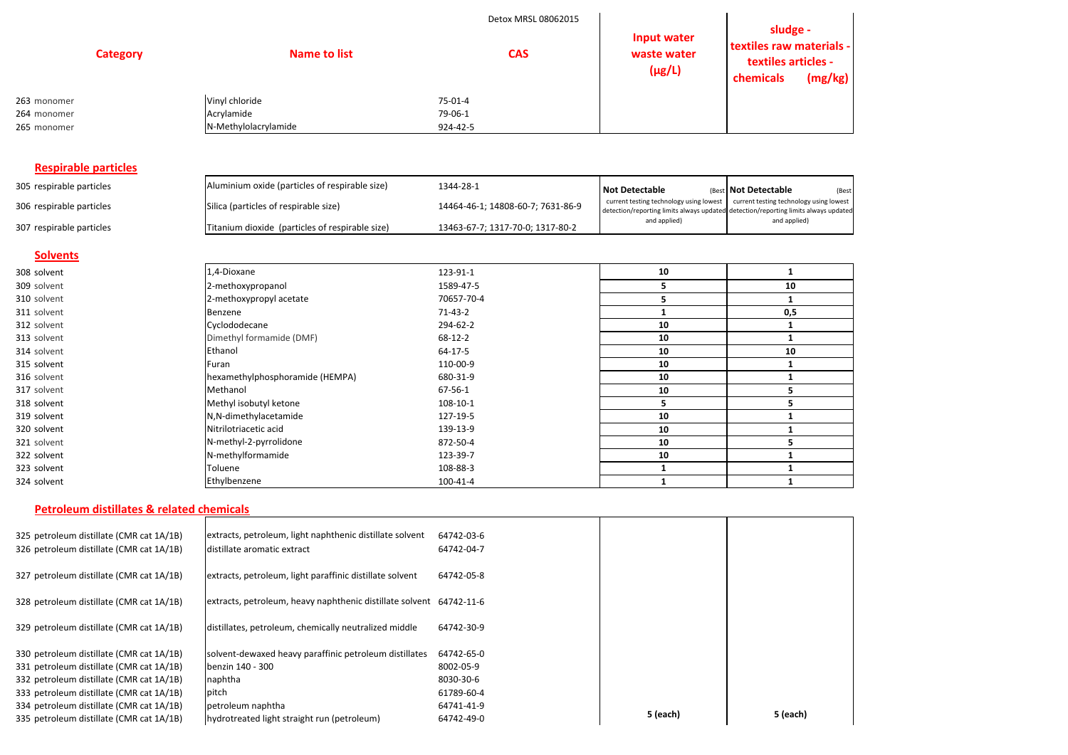

|                 |                      | Detox MRSL 08062015 |                                           |                                                                                     |
|-----------------|----------------------|---------------------|-------------------------------------------|-------------------------------------------------------------------------------------|
| <b>Category</b> | <b>Name to list</b>  | <b>CAS</b>          | Input water<br>waste water<br>$(\mu g/L)$ | sludge -<br>textiles raw materials -<br>textiles articles -<br>(mg/kg)<br>chemicals |
| 263 monomer     | Vinyl chloride       | $75-01-4$           |                                           |                                                                                     |
| 264 monomer     | Acrylamide           | 79-06-1             |                                           |                                                                                     |
| 265 monomer     | N-Methylolacrylamide | 924-42-5            |                                           |                                                                                     |
|                 |                      |                     |                                           |                                                                                     |

# **Respirable particles**

### **Solvents**

| 308 solvent | 1,4-Dioxane                     | 123-91-1       | 10 |     |
|-------------|---------------------------------|----------------|----|-----|
| 309 solvent | 2-methoxypropanol               | 1589-47-5      | b. | 10  |
| 310 solvent | 2-methoxypropyl acetate         | 70657-70-4     | 5  |     |
| 311 solvent | Benzene                         | $71-43-2$      |    | 0,5 |
| 312 solvent | Cyclododecane                   | 294-62-2       | 10 |     |
| 313 solvent | Dimethyl formamide (DMF)        | 68-12-2        | 10 |     |
| 314 solvent | Ethanol                         | 64-17-5        | 10 | 10  |
| 315 solvent | Furan                           | 110-00-9       | 10 |     |
| 316 solvent | hexamethylphosphoramide (HEMPA) | 680-31-9       | 10 |     |
| 317 solvent | Methanol                        | 67-56-1        | 10 | 5   |
| 318 solvent | Methyl isobutyl ketone          | 108-10-1       | 5  | 5.  |
| 319 solvent | N,N-dimethylacetamide           | 127-19-5       | 10 |     |
| 320 solvent | Nitrilotriacetic acid           | 139-13-9       | 10 |     |
| 321 solvent | N-methyl-2-pyrrolidone          | 872-50-4       | 10 |     |
| 322 solvent | N-methylformamide               | 123-39-7       | 10 |     |
| 323 solvent | Toluene                         | 108-88-3       |    |     |
| 324 solvent | Ethylbenzene                    | $100 - 41 - 4$ |    |     |

# **Petroleum distillates & related chemicals**

| 305 respirable particles | Aluminium oxide (particles of respirable size)  | 1344-28-1                         | Not Detectable                                                                      | (Best   <b>Not Detectable</b><br>(Best                                            |
|--------------------------|-------------------------------------------------|-----------------------------------|-------------------------------------------------------------------------------------|-----------------------------------------------------------------------------------|
| 306 respirable particles | Silica (particles of respirable size)           | 14464-46-1; 14808-60-7; 7631-86-9 | detection/reporting limits always updated detection/reporting limits always updated | current testing technology using lowest   current testing technology using lowest |
| 307 respirable particles | Titanium dioxide (particles of respirable size) | 13463-67-7; 1317-70-0; 1317-80-2  | and applied)                                                                        | and applied)                                                                      |

| 325 petroleum distillate (CMR cat 1A/1B) | extracts, petroleum, light naphthenic distillate solvent            | 64742-03-6 |          |          |
|------------------------------------------|---------------------------------------------------------------------|------------|----------|----------|
| 326 petroleum distillate (CMR cat 1A/1B) | distillate aromatic extract                                         | 64742-04-7 |          |          |
|                                          |                                                                     |            |          |          |
| 327 petroleum distillate (CMR cat 1A/1B) | extracts, petroleum, light paraffinic distillate solvent            | 64742-05-8 |          |          |
|                                          |                                                                     |            |          |          |
| 328 petroleum distillate (CMR cat 1A/1B) | extracts, petroleum, heavy naphthenic distillate solvent 64742-11-6 |            |          |          |
| 329 petroleum distillate (CMR cat 1A/1B) | distillates, petroleum, chemically neutralized middle               | 64742-30-9 |          |          |
|                                          |                                                                     |            |          |          |
| 330 petroleum distillate (CMR cat 1A/1B) | solvent-dewaxed heavy paraffinic petroleum distillates              | 64742-65-0 |          |          |
| 331 petroleum distillate (CMR cat 1A/1B) | benzin 140 - 300                                                    | 8002-05-9  |          |          |
| 332 petroleum distillate (CMR cat 1A/1B) | naphtha                                                             | 8030-30-6  |          |          |
| 333 petroleum distillate (CMR cat 1A/1B) | pitch                                                               | 61789-60-4 |          |          |
| 334 petroleum distillate (CMR cat 1A/1B) | petroleum naphtha                                                   | 64741-41-9 |          |          |
| 335 petroleum distillate (CMR cat 1A/1B) | hydrotreated light straight run (petroleum)                         | 64742-49-0 | 5 (each) | 5 (each) |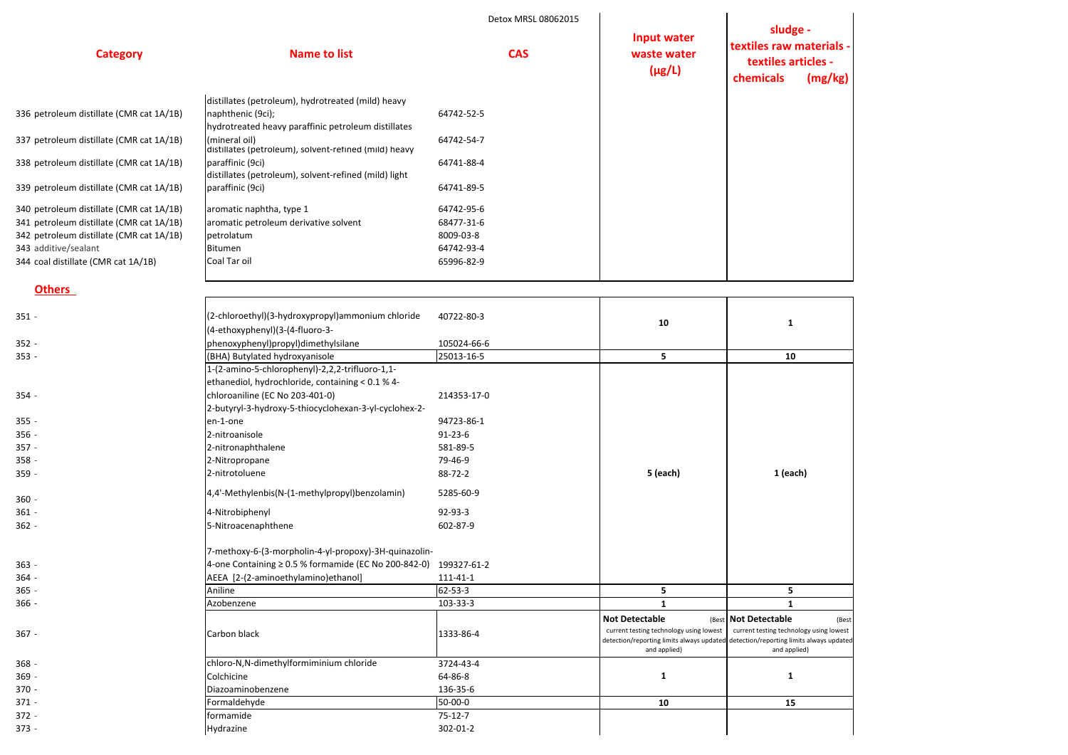|                                          |                                                                           | Detox MRSL 08062015 |                                           | sludge -                                                                |
|------------------------------------------|---------------------------------------------------------------------------|---------------------|-------------------------------------------|-------------------------------------------------------------------------|
| <b>Category</b>                          | <b>Name to list</b>                                                       | <b>CAS</b>          | Input water<br>waste water<br>$(\mu g/L)$ | textiles raw materials -<br>textiles articles -<br>(mg/kg)<br>chemicals |
|                                          | distillates (petroleum), hydrotreated (mild) heavy                        |                     |                                           |                                                                         |
| 336 petroleum distillate (CMR cat 1A/1B) | naphthenic (9ci);<br>hydrotreated heavy paraffinic petroleum distillates  | 64742-52-5          |                                           |                                                                         |
| 337 petroleum distillate (CMR cat 1A/1B) | (mineral oil)<br>distillates (petroleum), solvent-refined (mild) heavy    | 64742-54-7          |                                           |                                                                         |
| 338 petroleum distillate (CMR cat 1A/1B) | paraffinic (9ci)<br>distillates (petroleum), solvent-refined (mild) light | 64741-88-4          |                                           |                                                                         |
| 339 petroleum distillate (CMR cat 1A/1B) | paraffinic (9ci)                                                          | 64741-89-5          |                                           |                                                                         |
| 340 petroleum distillate (CMR cat 1A/1B) | aromatic naphtha, type 1                                                  | 64742-95-6          |                                           |                                                                         |
| 341 petroleum distillate (CMR cat 1A/1B) | aromatic petroleum derivative solvent                                     | 68477-31-6          |                                           |                                                                         |
| 342 petroleum distillate (CMR cat 1A/1B) | petrolatum                                                                | 8009-03-8           |                                           |                                                                         |
| 343 additive/sealant                     | <b>Bitumen</b>                                                            | 64742-93-4          |                                           |                                                                         |
| 344 coal distillate (CMR cat 1A/1B)      | Coal Tar oil                                                              | 65996-82-9          |                                           |                                                                         |

#### **Others**

| $351 -$ | (2-chloroethyl)(3-hydroxypropyl)ammonium chloride<br>(4-ethoxyphenyl)(3-(4-fluoro-3-                | 40722-80-3     | 10                                                                               | $\mathbf{1}$                                                                                                                                                                    |
|---------|-----------------------------------------------------------------------------------------------------|----------------|----------------------------------------------------------------------------------|---------------------------------------------------------------------------------------------------------------------------------------------------------------------------------|
| $352 -$ | phenoxyphenyl)propyl)dimethylsilane                                                                 | 105024-66-6    |                                                                                  |                                                                                                                                                                                 |
| $353 -$ | (BHA) Butylated hydroxyanisole                                                                      | 25013-16-5     | 5                                                                                | 10                                                                                                                                                                              |
|         | 1-(2-amino-5-chlorophenyl)-2,2,2-trifluoro-1,1-<br>ethanediol, hydrochloride, containing < 0.1 % 4- |                |                                                                                  |                                                                                                                                                                                 |
| $354 -$ | chloroaniline (EC No 203-401-0)<br>2-butyryl-3-hydroxy-5-thiocyclohexan-3-yl-cyclohex-2-            | 214353-17-0    |                                                                                  |                                                                                                                                                                                 |
| $355 -$ | en-1-one                                                                                            | 94723-86-1     |                                                                                  |                                                                                                                                                                                 |
| $356 -$ | 2-nitroanisole                                                                                      | $91 - 23 - 6$  |                                                                                  |                                                                                                                                                                                 |
| $357 -$ | 2-nitronaphthalene                                                                                  | 581-89-5       |                                                                                  |                                                                                                                                                                                 |
| $358 -$ | 2-Nitropropane                                                                                      | 79-46-9        |                                                                                  |                                                                                                                                                                                 |
| 359 -   | 2-nitrotoluene                                                                                      | 88-72-2        | $5$ (each)                                                                       | $1$ (each)                                                                                                                                                                      |
| $360 -$ | 4,4'-Methylenbis(N-(1-methylpropyl)benzolamin)                                                      | 5285-60-9      |                                                                                  |                                                                                                                                                                                 |
| $361 -$ | 4-Nitrobiphenyl                                                                                     | 92-93-3        |                                                                                  |                                                                                                                                                                                 |
| $362 -$ | 5-Nitroacenaphthene                                                                                 | 602-87-9       |                                                                                  |                                                                                                                                                                                 |
|         | 7-methoxy-6-(3-morpholin-4-yl-propoxy)-3H-quinazolin-                                               |                |                                                                                  |                                                                                                                                                                                 |
| $363 -$ | 4-one Containing ≥ 0.5 % formamide (EC No 200-842-0) 199327-61-2                                    |                |                                                                                  |                                                                                                                                                                                 |
| $364 -$ | AEEA [2-(2-aminoethylamino)ethanol]                                                                 | $111 - 41 - 1$ |                                                                                  |                                                                                                                                                                                 |
| $365 -$ | Aniline                                                                                             | 62-53-3        | 5                                                                                | 5                                                                                                                                                                               |
| $366 -$ | Azobenzene                                                                                          | 103-33-3       | $\mathbf{1}$                                                                     | $\mathbf{1}$                                                                                                                                                                    |
| $367 -$ | Carbon black                                                                                        | 1333-86-4      | <b>Not Detectable</b><br>current testing technology using lowest<br>and applied) | (Best Not Detectable<br>(Best<br>current testing technology using lowest<br>detection/reporting limits always updated detection/reporting limits always updated<br>and applied) |
| $368 -$ | chloro-N,N-dimethylformiminium chloride                                                             | 3724-43-4      |                                                                                  |                                                                                                                                                                                 |
| 369 -   | Colchicine                                                                                          | 64-86-8        | $\mathbf{1}$                                                                     | $\mathbf{1}$                                                                                                                                                                    |
| 370 -   | Diazoaminobenzene                                                                                   | 136-35-6       |                                                                                  |                                                                                                                                                                                 |
| $371 -$ | Formaldehyde                                                                                        | 50-00-0        | 10                                                                               | 15                                                                                                                                                                              |
| $372 -$ | formamide                                                                                           | $75-12-7$      |                                                                                  |                                                                                                                                                                                 |
| $373 -$ | Hydrazine                                                                                           | 302-01-2       |                                                                                  |                                                                                                                                                                                 |

| aterials - |  |
|------------|--|
| icles -    |  |
| (mg/kg)    |  |
|            |  |
|            |  |
|            |  |
|            |  |
|            |  |
|            |  |
|            |  |
|            |  |

| (Best<br>gy using lowest<br>always updated |
|--------------------------------------------|
| I)                                         |
|                                            |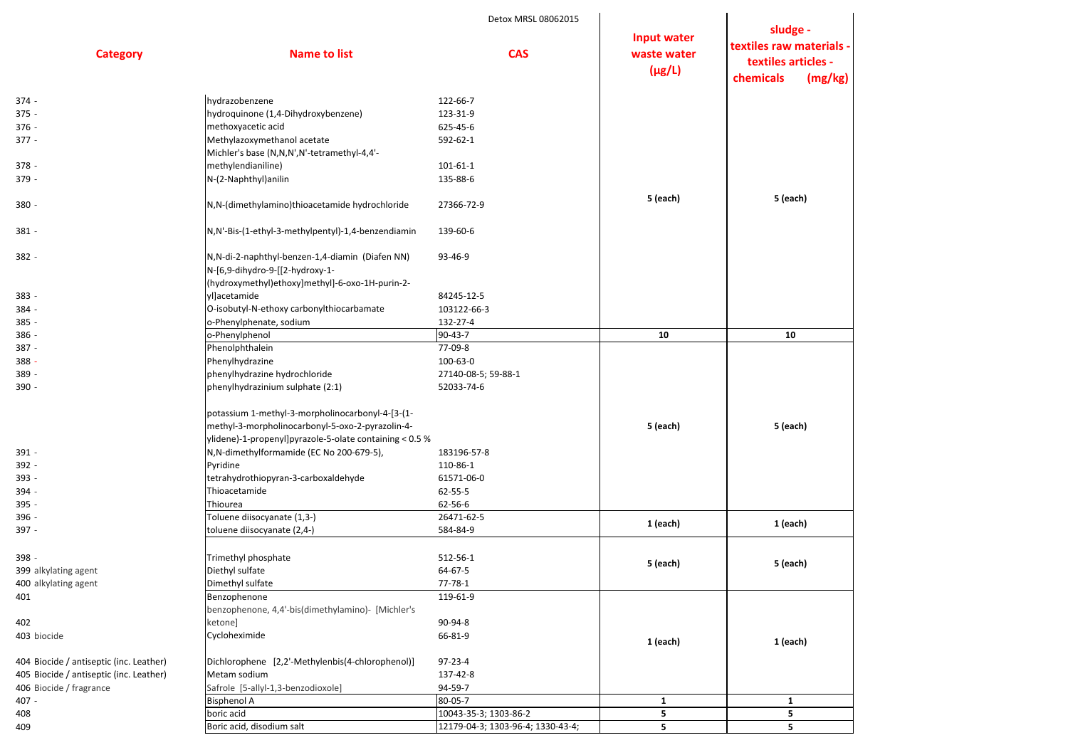

|                                         |                                                                                      | Detox MRSL 08062015               |                                                  |                                                                                     |
|-----------------------------------------|--------------------------------------------------------------------------------------|-----------------------------------|--------------------------------------------------|-------------------------------------------------------------------------------------|
| <b>Category</b>                         | <b>Name to list</b>                                                                  | <b>CAS</b>                        | <b>Input water</b><br>waste water<br>$(\mu g/L)$ | sludge -<br>textiles raw materials -<br>textiles articles -<br>(mg/kg)<br>chemicals |
| $374 -$                                 | hydrazobenzene                                                                       | 122-66-7                          |                                                  |                                                                                     |
| $375 -$                                 | hydroquinone (1,4-Dihydroxybenzene)                                                  | 123-31-9                          |                                                  |                                                                                     |
| $376 -$                                 | methoxyacetic acid                                                                   | 625-45-6                          |                                                  |                                                                                     |
| $377 -$                                 | Methylazoxymethanol acetate<br>Michler's base (N,N,N',N'-tetramethyl-4,4'-           | 592-62-1                          |                                                  |                                                                                     |
| $378 -$                                 | methylendianiline)                                                                   | $101 - 61 - 1$                    |                                                  |                                                                                     |
| $379 -$                                 | N-(2-Naphthyl) anilin                                                                | 135-88-6                          |                                                  |                                                                                     |
| $380 -$                                 | N,N-(dimethylamino)thioacetamide hydrochloride                                       | 27366-72-9                        | $5$ (each)                                       | $5$ (each)                                                                          |
| $381 -$                                 | N,N'-Bis-(1-ethyl-3-methylpentyl)-1,4-benzendiamin                                   | 139-60-6                          |                                                  |                                                                                     |
| $382 -$                                 | N, N-di-2-naphthyl-benzen-1, 4-diamin (Diafen NN)<br>N-[6,9-dihydro-9-[[2-hydroxy-1- | 93-46-9                           |                                                  |                                                                                     |
|                                         | (hydroxymethyl)ethoxy]methyl]-6-oxo-1H-purin-2-                                      |                                   |                                                  |                                                                                     |
| $383 -$                                 | yl]acetamide                                                                         | 84245-12-5                        |                                                  |                                                                                     |
| 384 -                                   | O-isobutyl-N-ethoxy carbonylthiocarbamate                                            | 103122-66-3                       |                                                  |                                                                                     |
| 385 -                                   | o-Phenylphenate, sodium                                                              | 132-27-4                          |                                                  |                                                                                     |
| $386 -$                                 | o-Phenylphenol                                                                       | 90-43-7                           | 10                                               | 10                                                                                  |
| $387 -$                                 | Phenolphthalein                                                                      | 77-09-8                           |                                                  |                                                                                     |
| $388 -$                                 | Phenylhydrazine                                                                      | 100-63-0                          |                                                  |                                                                                     |
| 389 -                                   | phenylhydrazine hydrochloride                                                        | 27140-08-5; 59-88-1               |                                                  |                                                                                     |
| $390 -$                                 | phenylhydrazinium sulphate (2:1)                                                     | 52033-74-6                        |                                                  |                                                                                     |
|                                         | potassium 1-methyl-3-morpholinocarbonyl-4-[3-(1-                                     |                                   |                                                  |                                                                                     |
|                                         | methyl-3-morpholinocarbonyl-5-oxo-2-pyrazolin-4-                                     |                                   | $5$ (each)                                       | $5$ (each)                                                                          |
|                                         | ylidene)-1-propenyl]pyrazole-5-olate containing < 0.5 %                              |                                   |                                                  |                                                                                     |
| $391 -$                                 | N, N-dimethylformamide (EC No 200-679-5),                                            | 183196-57-8                       |                                                  |                                                                                     |
| 392 -                                   | Pyridine                                                                             | 110-86-1                          |                                                  |                                                                                     |
| 393 -                                   | tetrahydrothiopyran-3-carboxaldehyde                                                 | 61571-06-0                        |                                                  |                                                                                     |
| 394 -                                   | Thioacetamide                                                                        | 62-55-5                           |                                                  |                                                                                     |
| $395 -$                                 | Thiourea                                                                             | 62-56-6                           |                                                  |                                                                                     |
| $396 -$                                 | Toluene diisocyanate (1,3-)                                                          | 26471-62-5                        | 1 (each)                                         | $1$ (each)                                                                          |
| 397 -                                   | toluene diisocyanate (2,4-)                                                          | 584-84-9                          |                                                  |                                                                                     |
| 398 -                                   | Trimethyl phosphate                                                                  | 512-56-1                          | $5$ (each)                                       | $5$ (each)                                                                          |
| 399 alkylating agent                    | Diethyl sulfate                                                                      | 64-67-5                           |                                                  |                                                                                     |
| 400 alkylating agent                    | Dimethyl sulfate                                                                     | $77 - 78 - 1$                     |                                                  |                                                                                     |
| 401                                     | Benzophenone                                                                         | 119-61-9                          |                                                  |                                                                                     |
|                                         | benzophenone, 4,4'-bis(dimethylamino)- [Michler's                                    |                                   |                                                  |                                                                                     |
| 402                                     | ketone]                                                                              | 90-94-8                           |                                                  |                                                                                     |
| 403 biocide                             | Cycloheximide                                                                        | 66-81-9                           | 1 (each)                                         | $1$ (each)                                                                          |
| 404 Biocide / antiseptic (inc. Leather) | Dichlorophene [2,2'-Methylenbis(4-chlorophenol)]                                     | $97 - 23 - 4$                     |                                                  |                                                                                     |
| 405 Biocide / antiseptic (inc. Leather) | Metam sodium                                                                         | 137-42-8                          |                                                  |                                                                                     |
| 406 Biocide / fragrance                 | Safrole [5-allyl-1,3-benzodioxole]                                                   | 94-59-7                           |                                                  |                                                                                     |
| $407 -$                                 | <b>Bisphenol A</b>                                                                   | 80-05-7                           | $\mathbf{1}$                                     | $\mathbf{1}$                                                                        |
| 408                                     | boric acid                                                                           | 10043-35-3; 1303-86-2             | 5                                                | 5                                                                                   |
| 409                                     | Boric acid, disodium salt                                                            | 12179-04-3; 1303-96-4; 1330-43-4; | 5                                                | 5                                                                                   |